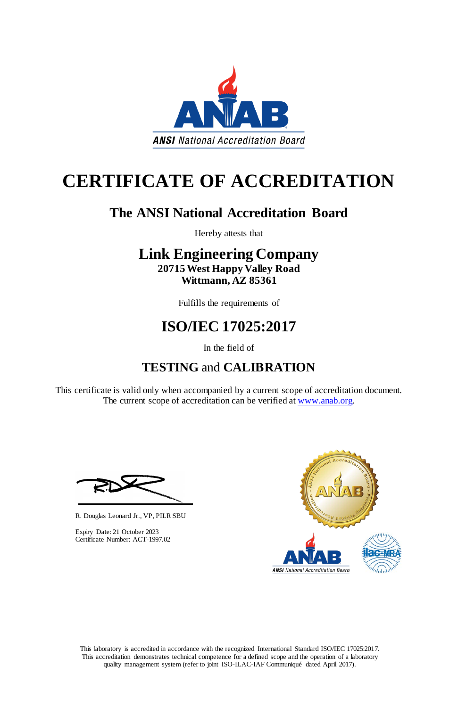This laboratory is accredited in accordance with the recognized International Standard ISO/IEC 17025:2017. This accreditation demonstrates technical competence for a defined scope and the operation of a laboratory quality management system (refer to joint ISO-ILAC-IAF Communiqué dated April 2017).

This certificate is valid only when accompanied by a current scope of accreditation document. The current scope of accreditation can be verified at [www.anab.org.](http://www.anab.org/)





# **CERTIFICATE OF ACCREDITATION**

## **The ANSI National Accreditation Board**

Hereby attests that

## **Link Engineering Company 20715 West Happy Valley Road Wittmann, AZ 85361**

Fulfills the requirements of

## **ISO/IEC 17025:2017**

In the field of

## **TESTING** and **CALIBRATION**

R. Douglas Leonard Jr., VP, PILR SBU



Expiry Date: 21 October 2023 Certificate Number: ACT-1997.02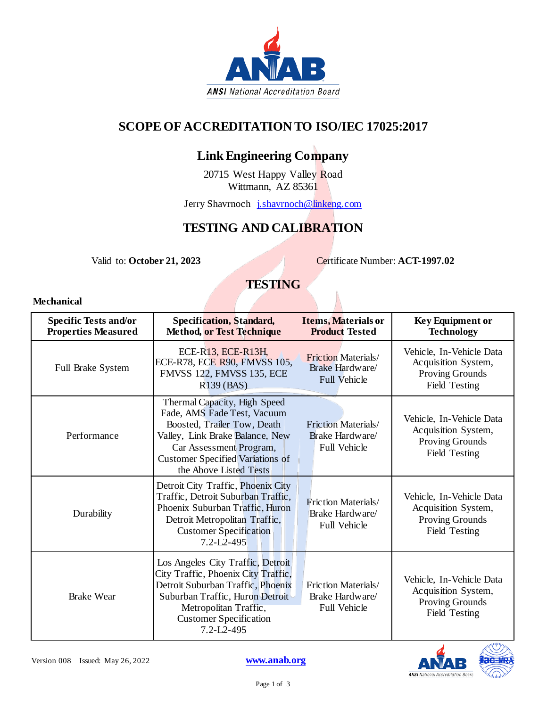

### **SCOPE OF ACCREDITATION TO ISO/IEC 17025:2017**

## **Link Engineering Company**

20715 West Happy Valley Road Wittmann, AZ 85361

Jerry Shavrnoch *j.shavrnoch*@linkeng.com

### **TESTING AND CALIBRATION**

Valid to: **October 21, 2023** Certificate Number: **ACT-1997.02** 

Ŋ

### **TESTING**

#### **Mechanical**

| <b>Specific Tests and/or</b><br><b>Properties Measured</b> | <b>Specification, Standard,</b><br><b>Method, or Test Technique</b>                                                                                                                                                           | Items, Materials or<br><b>Product Tested</b>                         | <b>Key Equipment or</b><br><b>Technology</b>                                        |
|------------------------------------------------------------|-------------------------------------------------------------------------------------------------------------------------------------------------------------------------------------------------------------------------------|----------------------------------------------------------------------|-------------------------------------------------------------------------------------|
| Full Brake System                                          | ECE-R13, ECE-R13H,<br>ECE-R78, ECE R90, FMVSS 105,<br><b>FMVSS 122, FMVSS 135, ECE</b><br>R139 (BAS)                                                                                                                          | <b>Friction Materials/</b><br>Brake Hardware/<br><b>Full Vehicle</b> | Vehicle, In-Vehicle Data<br>Acquisition System,<br>Proving Grounds<br>Field Testing |
| Performance                                                | Thermal Capacity, High Speed<br>Fade, AMS Fade Test, Vacuum<br>Boosted, Trailer Tow, Death<br>Valley, Link Brake Balance, New<br>Car Assessment Program,<br><b>Customer Specified Variations of</b><br>the Above Listed Tests | <b>Friction Materials/</b><br>Brake Hardware/<br><b>Full Vehicle</b> | Vehicle, In-Vehicle Data<br>Acquisition System,<br>Proving Grounds<br>Field Testing |
| Durability                                                 | Detroit City Traffic, Phoenix City<br>Traffic, Detroit Suburban Traffic,<br>Phoenix Suburban Traffic, Huron<br>Detroit Metropolitan Traffic,<br><b>Customer Specification</b><br>$7.2 - L2 - 495$                             | Friction Materials/<br>Brake Hardware/<br><b>Full Vehicle</b>        | Vehicle, In-Vehicle Data<br>Acquisition System,<br>Proving Grounds<br>Field Testing |
| <b>Brake Wear</b>                                          | Los Angeles City Traffic, Detroit<br>City Traffic, Phoenix City Traffic,<br>Detroit Suburban Traffic, Phoenix<br>Suburban Traffic, Huron Detroit<br>Metropolitan Traffic,<br><b>Customer Specification</b><br>7.2-L2-495      | Friction Materials/<br>Brake Hardware/<br><b>Full Vehicle</b>        | Vehicle, In-Vehicle Data<br>Acquisition System,<br>Proving Grounds<br>Field Testing |

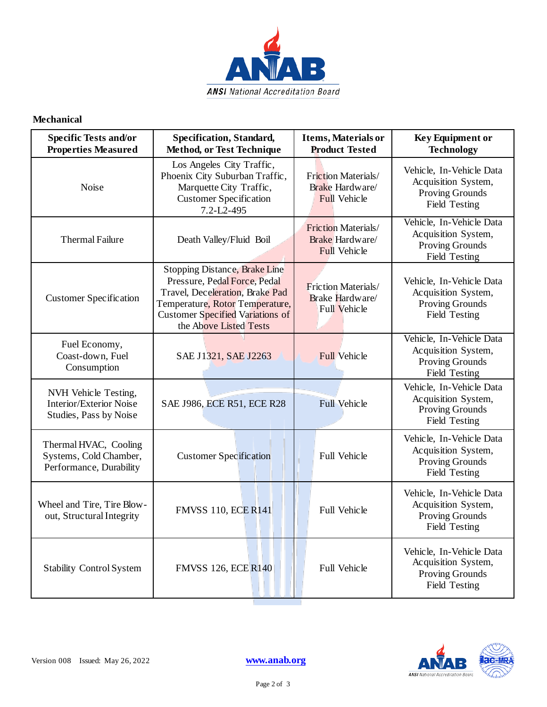

#### **Mechanical**

| <b>Specific Tests and/or</b><br><b>Properties Measured</b>                       | <b>Specification, Standard,</b><br>Method, or Test Technique                                                                                                                                             | <b>Items, Materials or</b><br><b>Product Tested</b>                  | <b>Key Equipment or</b><br><b>Technology</b>                                               |
|----------------------------------------------------------------------------------|----------------------------------------------------------------------------------------------------------------------------------------------------------------------------------------------------------|----------------------------------------------------------------------|--------------------------------------------------------------------------------------------|
| Noise                                                                            | Los Angeles City Traffic,<br>Phoenix City Suburban Traffic,<br>Marquette City Traffic,<br><b>Customer Specification</b><br>7.2-L2-495                                                                    | Friction Materials/<br>Brake Hardware/<br><b>Full Vehicle</b>        | Vehicle, In-Vehicle Data<br>Acquisition System,<br>Proving Grounds<br>Field Testing        |
| <b>Thermal Failure</b>                                                           | Death Valley/Fluid Boil                                                                                                                                                                                  | <b>Friction Materials/</b><br>Brake Hardware/<br><b>Full Vehicle</b> | Vehicle, In-Vehicle Data<br>Acquisition System,<br><b>Proving Grounds</b><br>Field Testing |
| <b>Customer Specification</b>                                                    | Stopping Distance, Brake Line<br>Pressure, Pedal Force, Pedal<br>Travel, Deceleration, Brake Pad<br>Temperature, Rotor Temperature,<br><b>Customer Specified Variations of</b><br>the Above Listed Tests | <b>Friction Materials/</b><br>Brake Hardware/<br>Full Vehicle        | Vehicle, In-Vehicle Data<br>Acquisition System,<br><b>Proving Grounds</b><br>Field Testing |
| Fuel Economy,<br>Coast-down, Fuel<br>Consumption                                 | SAE J1321, SAE J2263                                                                                                                                                                                     | <b>Full Vehicle</b>                                                  | Vehicle, In-Vehicle Data<br>Acquisition System,<br><b>Proving Grounds</b><br>Field Testing |
| NVH Vehicle Testing,<br><b>Interior/Exterior Noise</b><br>Studies, Pass by Noise | SAE J986, ECE R51, ECE R28                                                                                                                                                                               | <b>Full Vehicle</b>                                                  | Vehicle, In-Vehicle Data<br>Acquisition System,<br>Proving Grounds<br>Field Testing        |
| Thermal HVAC, Cooling<br>Systems, Cold Chamber,<br>Performance, Durability       | <b>Customer Specification</b>                                                                                                                                                                            | Full Vehicle                                                         | Vehicle, In-Vehicle Data<br>Acquisition System,<br>Proving Grounds<br>Field Testing        |
| Wheel and Tire, Tire Blow-<br>out, Structural Integrity                          | <b>FMVSS 110, ECE R141</b>                                                                                                                                                                               | Full Vehicle                                                         | Vehicle, In-Vehicle Data<br>Acquisition System,<br><b>Proving Grounds</b><br>Field Testing |
| <b>Stability Control System</b>                                                  | <b>FMVSS 126, ECE R140</b>                                                                                                                                                                               | Full Vehicle                                                         | Vehicle, In-Vehicle Data<br>Acquisition System,<br>Proving Grounds<br>Field Testing        |